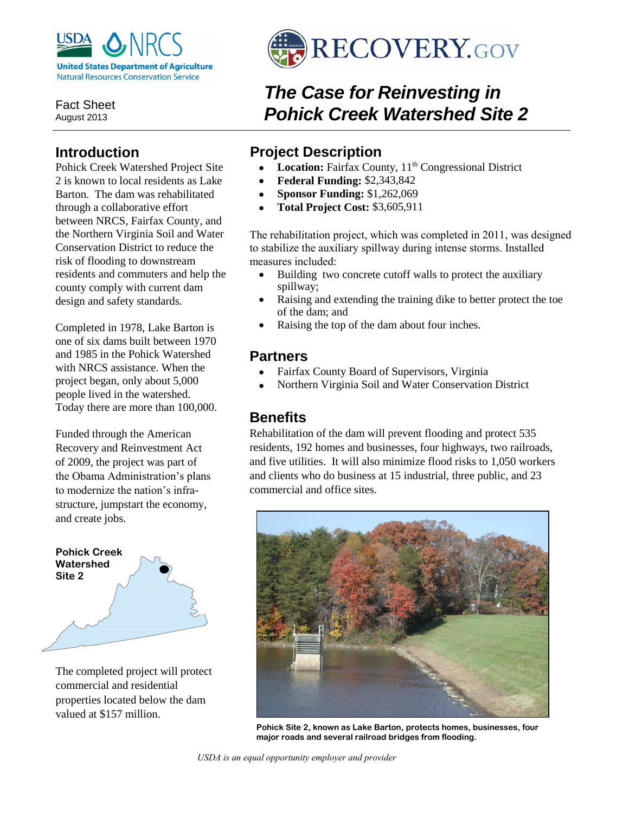

Fact Sheet August 2013

### **Introduction**

Pohick Creek Watershed Project Site 2 is known to local residents as Lake Barton. The dam was rehabilitated through a collaborative effort between NRCS, Fairfax County, and the Northern Virginia Soil and Water Conservation District to reduce the risk of flooding to downstream residents and commuters and help the county comply with current dam design and safety standards.

Completed in 1978, Lake Barton is one of six dams built between 1970 and 1985 in the Pohick Watershed with NRCS assistance. When the project began, only about 5,000 people lived in the watershed. Today there are more than 100,000.

Funded through the American Recovery and Reinvestment Act of 2009, the project was part of the Obama Administration's plans to modernize the nation's infrastructure, jumpstart the economy, and create jobs.



The completed project will protect commercial and residential properties located below the dam valued at \$157 million.



# *The Case for Reinvesting in Pohick Creek Watershed Site 2*

### **Project Description**

- Location: Fairfax County, 11<sup>th</sup> Congressional District
- **Federal Funding:** \$2,343,842
- **Sponsor Funding:** \$1,262,069
- **Total Project Cost:** \$3,605,911

The rehabilitation project, which was completed in 2011, was designed to stabilize the auxiliary spillway during intense storms. Installed measures included:

- Building two concrete cutoff walls to protect the auxiliary spillway;
- Raising and extending the training dike to better protect the toe of the dam; and
- Raising the top of the dam about four inches.

### **Partners**

- Fairfax County Board of Supervisors, Virginia
- Northern Virginia Soil and Water Conservation District

### **Benefits**

Rehabilitation of the dam will prevent flooding and protect 535 residents, 192 homes and businesses, four highways, two railroads, and five utilities. It will also minimize flood risks to 1,050 workers and clients who do business at 15 industrial, three public, and 23 commercial and office sites.



**Pohick Site 2, known as Lake Barton, protects homes, businesses, four major roads and several railroad bridges from flooding.**